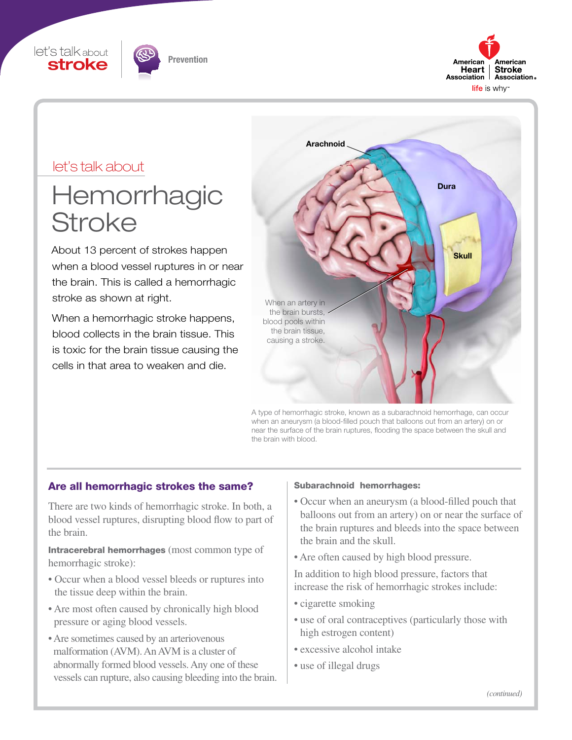





### let's talk about

# Hemorrhagic **Stroke**

About 13 percent of strokes happen when a blood vessel ruptures in or near the brain. This is called a hemorrhagic stroke as shown at right.

When a hemorrhagic stroke happens, blood collects in the brain tissue. This is toxic for the brain tissue causing the cells in that area to weaken and die.



A type of hemorrhagic stroke, known as a subarachnoid hemorrhage, can occur when an aneurysm (a blood-filled pouch that balloons out from an artery) on or near the surface of the brain ruptures, flooding the space between the skull and the brain with blood.

#### Are all hemorrhagic strokes the same?

There are two kinds of hemorrhagic stroke. In both, a blood vessel ruptures, disrupting blood flow to part of the brain.

Intracerebral hemorrhages (most common type of hemorrhagic stroke):

- Occur when a blood vessel bleeds or ruptures into the tissue deep within the brain.
- Are most often caused by chronically high blood pressure or aging blood vessels.
- Are sometimes caused by an arteriovenous malformation (AVM). An AVM is a cluster of abnormally formed blood vessels. Any one of these vessels can rupture, also causing bleeding into the brain.

#### Subarachnoid hemorrhages:

- Occur when an aneurysm (a blood-filled pouch that balloons out from an artery) on or near the surface of the brain ruptures and bleeds into the space between the brain and the skull.
- Are often caused by high blood pressure.

In addition to high blood pressure, factors that increase the risk of hemorrhagic strokes include:

- cigarette smoking
- use of oral contraceptives (particularly those with high estrogen content)
- excessive alcohol intake
- use of illegal drugs